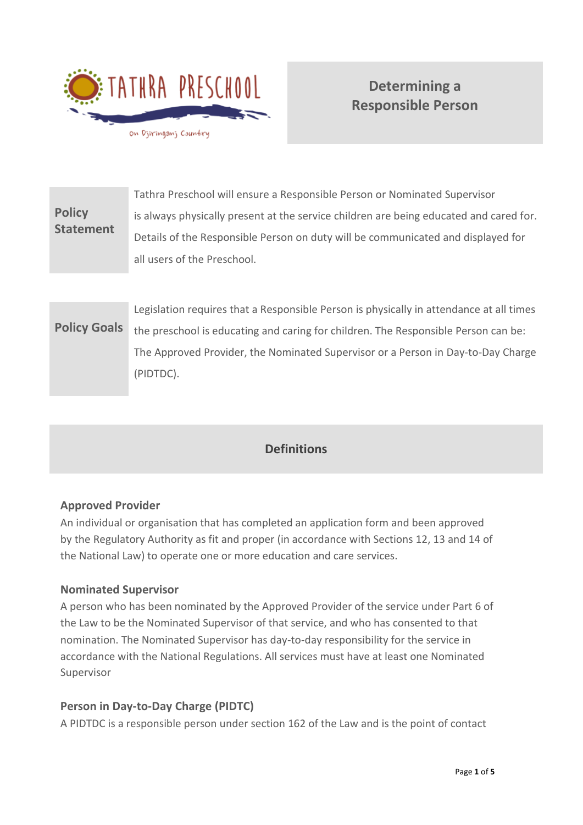

# **Determining a Responsible Person**

| <b>Policy</b><br><b>Statement</b> | Tathra Preschool will ensure a Responsible Person or Nominated Supervisor              |
|-----------------------------------|----------------------------------------------------------------------------------------|
|                                   | is always physically present at the service children are being educated and cared for. |
|                                   | Details of the Responsible Person on duty will be communicated and displayed for       |
|                                   | all users of the Preschool.                                                            |

**Policy Goals** Legislation requires that a Responsible Person is physically in attendance at all times the preschool is educating and caring for children. The Responsible Person can be: The Approved Provider, the Nominated Supervisor or a Person in Day-to-Day Charge (PIDTDC).

# **Definitions**

#### **Approved Provider**

An individual or organisation that has completed an application form and been approved by the Regulatory Authority as fit and proper (in accordance with Sections 12, 13 and 14 of the National Law) to operate one or more education and care services.

#### **Nominated Supervisor**

A person who has been nominated by the Approved Provider of the service under Part 6 of the Law to be the Nominated Supervisor of that service, and who has consented to that nomination. The Nominated Supervisor has day-to-day responsibility for the service in accordance with the National Regulations. All services must have at least one Nominated Supervisor

#### **Person in Day-to-Day Charge (PIDTC)**

A PIDTDC is a responsible person under section 162 of the Law and is the point of contact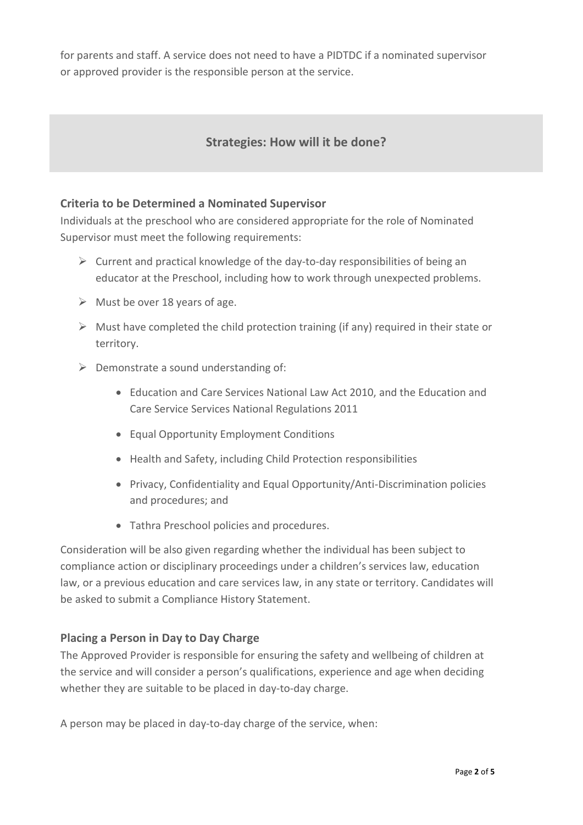for parents and staff. A service does not need to have a PIDTDC if a nominated supervisor or approved provider is the responsible person at the service.

## **Strategies: How will it be done?**

#### **Criteria to be Determined a Nominated Supervisor**

Individuals at the preschool who are considered appropriate for the role of Nominated Supervisor must meet the following requirements:

- $\triangleright$  Current and practical knowledge of the day-to-day responsibilities of being an educator at the Preschool, including how to work through unexpected problems.
- $\triangleright$  Must be over 18 years of age.
- $\triangleright$  Must have completed the child protection training (if any) required in their state or territory.
- $\triangleright$  Demonstrate a sound understanding of:
	- Education and Care Services National Law Act 2010, and the Education and Care Service Services National Regulations 2011
	- Equal Opportunity Employment Conditions
	- Health and Safety, including Child Protection responsibilities
	- Privacy, Confidentiality and Equal Opportunity/Anti-Discrimination policies and procedures; and
	- Tathra Preschool policies and procedures.

Consideration will be also given regarding whether the individual has been subject to compliance action or disciplinary proceedings under a children's services law, education law, or a previous education and care services law, in any state or territory. Candidates will be asked to submit a Compliance History Statement.

#### **Placing a Person in Day to Day Charge**

The Approved Provider is responsible for ensuring the safety and wellbeing of children at the service and will consider a person's qualifications, experience and age when deciding whether they are suitable to be placed in day-to-day charge.

A person may be placed in day-to-day charge of the service, when: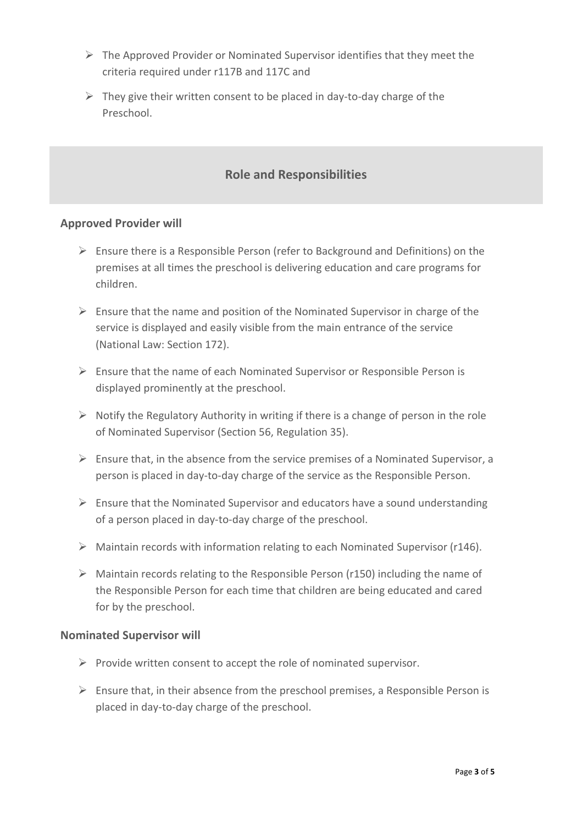- $\triangleright$  The Approved Provider or Nominated Supervisor identifies that they meet the criteria required under r117B and 117C and
- $\triangleright$  They give their written consent to be placed in day-to-day charge of the Preschool.

# **Role and Responsibilities**

#### **Approved Provider will**

- $\triangleright$  Ensure there is a Responsible Person (refer to Background and Definitions) on the premises at all times the preschool is delivering education and care programs for children.
- $\triangleright$  Ensure that the name and position of the Nominated Supervisor in charge of the service is displayed and easily visible from the main entrance of the service (National Law: Section 172).
- $\triangleright$  Ensure that the name of each Nominated Supervisor or Responsible Person is displayed prominently at the preschool.
- $\triangleright$  Notify the Regulatory Authority in writing if there is a change of person in the role of Nominated Supervisor (Section 56, Regulation 35).
- $\triangleright$  Ensure that, in the absence from the service premises of a Nominated Supervisor, a person is placed in day-to-day charge of the service as the Responsible Person.
- $\triangleright$  Ensure that the Nominated Supervisor and educators have a sound understanding of a person placed in day-to-day charge of the preschool.
- $\triangleright$  Maintain records with information relating to each Nominated Supervisor (r146).
- $\triangleright$  Maintain records relating to the Responsible Person (r150) including the name of the Responsible Person for each time that children are being educated and cared for by the preschool.

#### **Nominated Supervisor will**

- $\triangleright$  Provide written consent to accept the role of nominated supervisor.
- $\triangleright$  Ensure that, in their absence from the preschool premises, a Responsible Person is placed in day-to-day charge of the preschool.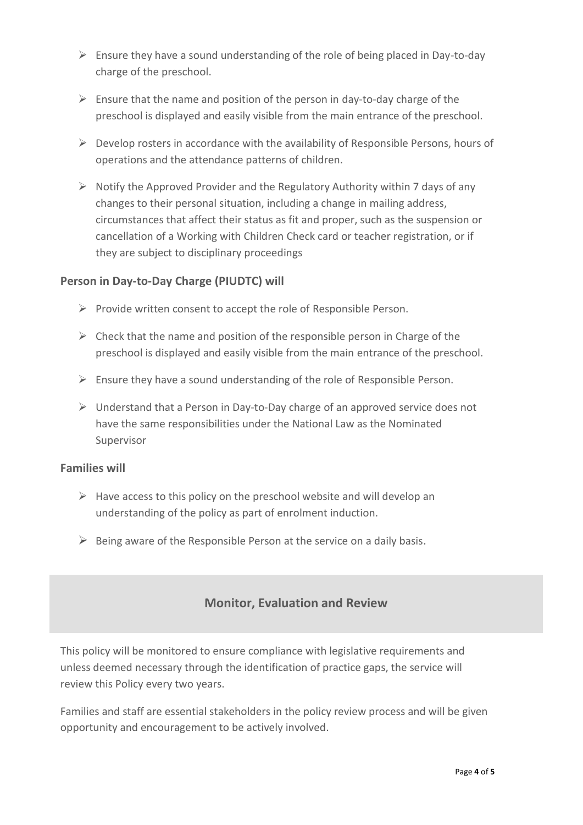- $\triangleright$  Ensure they have a sound understanding of the role of being placed in Day-to-day charge of the preschool.
- $\triangleright$  Ensure that the name and position of the person in day-to-day charge of the preschool is displayed and easily visible from the main entrance of the preschool.
- $\triangleright$  Develop rosters in accordance with the availability of Responsible Persons, hours of operations and the attendance patterns of children.
- ➢ Notify the Approved Provider and the Regulatory Authority within 7 days of any changes to their personal situation, including a change in mailing address, circumstances that affect their status as fit and proper, such as the suspension or cancellation of a Working with Children Check card or teacher registration, or if they are subject to disciplinary proceedings

#### **Person in Day-to-Day Charge (PIUDTC) will**

- $\triangleright$  Provide written consent to accept the role of Responsible Person.
- $\triangleright$  Check that the name and position of the responsible person in Charge of the preschool is displayed and easily visible from the main entrance of the preschool.
- ➢ Ensure they have a sound understanding of the role of Responsible Person.
- $\triangleright$  Understand that a Person in Day-to-Day charge of an approved service does not have the same responsibilities under the National Law as the Nominated Supervisor

#### **Families will**

- $\triangleright$  Have access to this policy on the preschool website and will develop an understanding of the policy as part of enrolment induction.
- $\triangleright$  Being aware of the Responsible Person at the service on a daily basis.

## **Monitor, Evaluation and Review**

This policy will be monitored to ensure compliance with legislative requirements and unless deemed necessary through the identification of practice gaps, the service will review this Policy every two years.

Families and staff are essential stakeholders in the policy review process and will be given opportunity and encouragement to be actively involved.